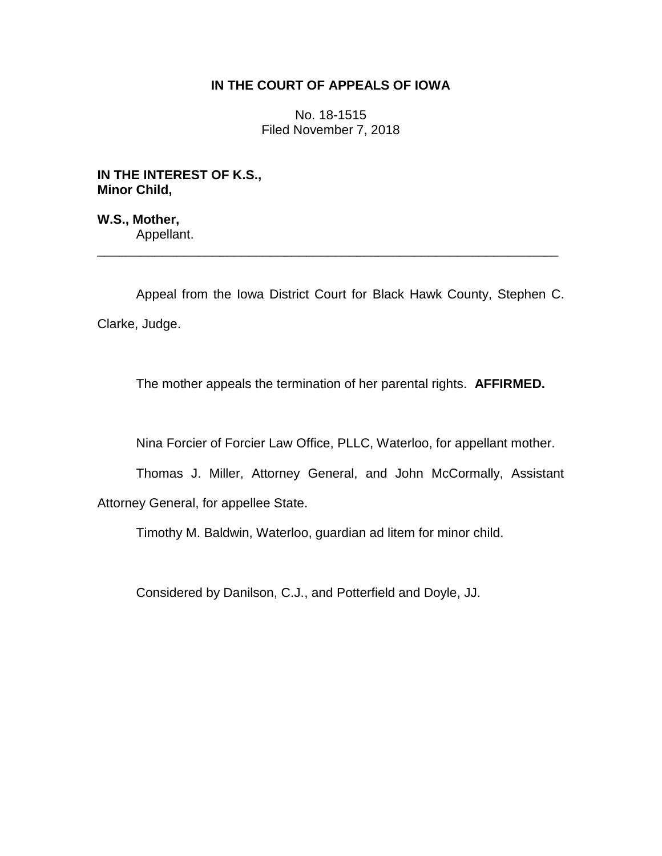## **IN THE COURT OF APPEALS OF IOWA**

No. 18-1515 Filed November 7, 2018

**IN THE INTEREST OF K.S., Minor Child,**

**W.S., Mother,** Appellant.

Appeal from the Iowa District Court for Black Hawk County, Stephen C. Clarke, Judge.

\_\_\_\_\_\_\_\_\_\_\_\_\_\_\_\_\_\_\_\_\_\_\_\_\_\_\_\_\_\_\_\_\_\_\_\_\_\_\_\_\_\_\_\_\_\_\_\_\_\_\_\_\_\_\_\_\_\_\_\_\_\_\_\_

The mother appeals the termination of her parental rights. **AFFIRMED.**

Nina Forcier of Forcier Law Office, PLLC, Waterloo, for appellant mother.

Thomas J. Miller, Attorney General, and John McCormally, Assistant

Attorney General, for appellee State.

Timothy M. Baldwin, Waterloo, guardian ad litem for minor child.

Considered by Danilson, C.J., and Potterfield and Doyle, JJ.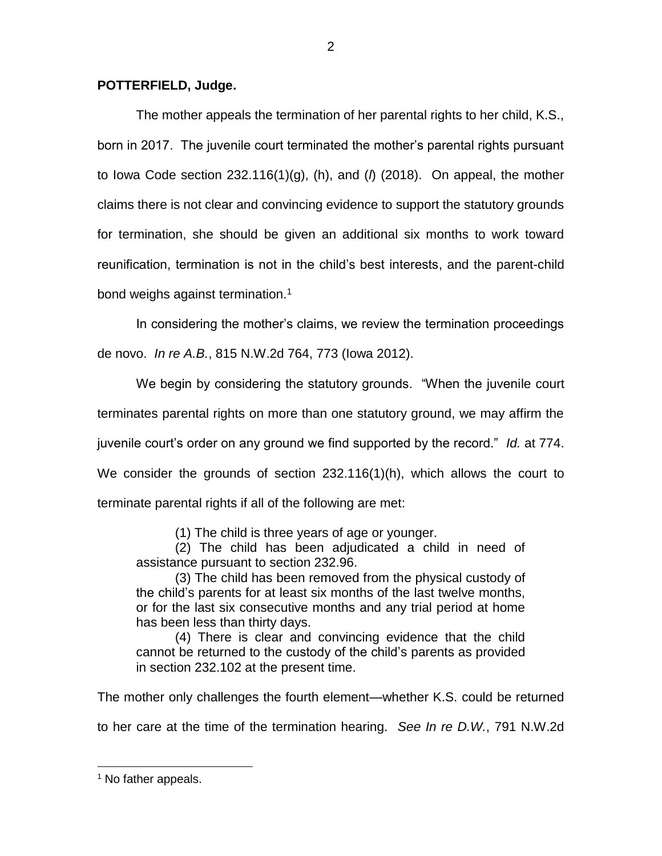## **POTTERFIELD, Judge.**

The mother appeals the termination of her parental rights to her child, K.S., born in 2017. The juvenile court terminated the mother's parental rights pursuant to Iowa Code section 232.116(1)(g), (h), and (*l*) (2018). On appeal, the mother claims there is not clear and convincing evidence to support the statutory grounds for termination, she should be given an additional six months to work toward reunification, termination is not in the child's best interests, and the parent-child bond weighs against termination.<sup>1</sup>

In considering the mother's claims, we review the termination proceedings de novo. *In re A.B.*, 815 N.W.2d 764, 773 (Iowa 2012).

We begin by considering the statutory grounds. "When the juvenile court terminates parental rights on more than one statutory ground, we may affirm the juvenile court's order on any ground we find supported by the record." *Id.* at 774. We consider the grounds of section 232.116(1)(h), which allows the court to terminate parental rights if all of the following are met:

(1) The child is three years of age or younger.

(2) The child has been adjudicated a child in need of assistance pursuant to section 232.96.

(3) The child has been removed from the physical custody of the child's parents for at least six months of the last twelve months, or for the last six consecutive months and any trial period at home has been less than thirty days.

(4) There is clear and convincing evidence that the child cannot be returned to the custody of the child's parents as provided in section 232.102 at the present time.

The mother only challenges the fourth element—whether K.S. could be returned

to her care at the time of the termination hearing. *See In re D.W.*, 791 N.W.2d

 $\overline{a}$ 

<sup>&</sup>lt;sup>1</sup> No father appeals.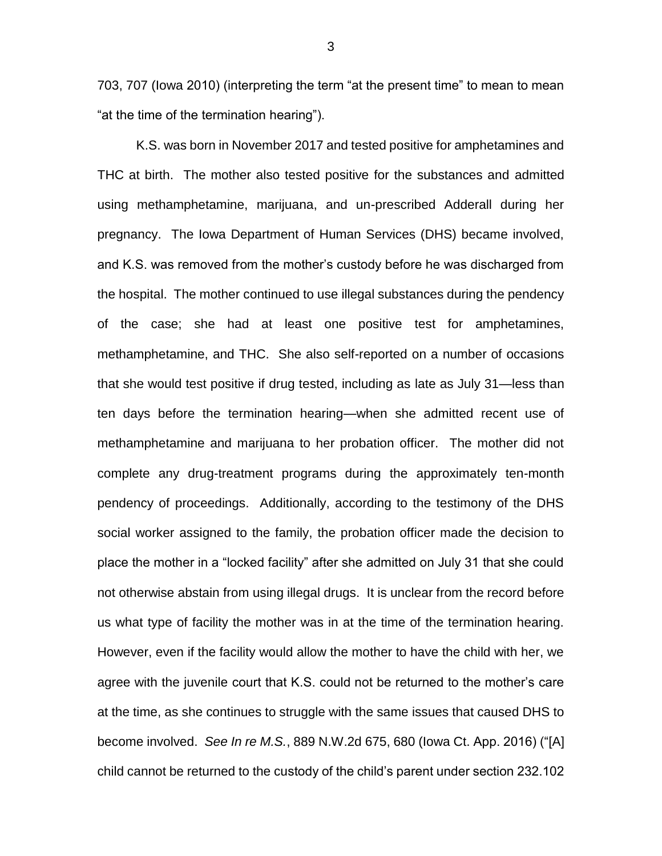703, 707 (Iowa 2010) (interpreting the term "at the present time" to mean to mean "at the time of the termination hearing").

K.S. was born in November 2017 and tested positive for amphetamines and THC at birth. The mother also tested positive for the substances and admitted using methamphetamine, marijuana, and un-prescribed Adderall during her pregnancy. The Iowa Department of Human Services (DHS) became involved, and K.S. was removed from the mother's custody before he was discharged from the hospital. The mother continued to use illegal substances during the pendency of the case; she had at least one positive test for amphetamines, methamphetamine, and THC. She also self-reported on a number of occasions that she would test positive if drug tested, including as late as July 31—less than ten days before the termination hearing—when she admitted recent use of methamphetamine and marijuana to her probation officer. The mother did not complete any drug-treatment programs during the approximately ten-month pendency of proceedings. Additionally, according to the testimony of the DHS social worker assigned to the family, the probation officer made the decision to place the mother in a "locked facility" after she admitted on July 31 that she could not otherwise abstain from using illegal drugs. It is unclear from the record before us what type of facility the mother was in at the time of the termination hearing. However, even if the facility would allow the mother to have the child with her, we agree with the juvenile court that K.S. could not be returned to the mother's care at the time, as she continues to struggle with the same issues that caused DHS to become involved. *See In re M.S.*, 889 N.W.2d 675, 680 (Iowa Ct. App. 2016) ("[A] child cannot be returned to the custody of the child's parent under section 232.102

3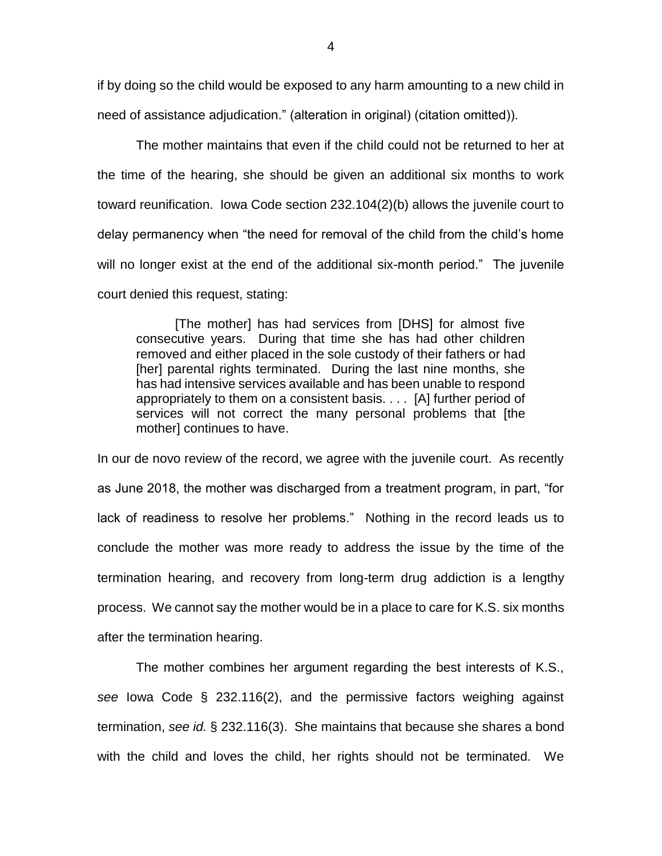if by doing so the child would be exposed to any harm amounting to a new child in need of assistance adjudication." (alteration in original) (citation omitted)).

The mother maintains that even if the child could not be returned to her at the time of the hearing, she should be given an additional six months to work toward reunification. Iowa Code section 232.104(2)(b) allows the juvenile court to delay permanency when "the need for removal of the child from the child's home will no longer exist at the end of the additional six-month period." The juvenile court denied this request, stating:

[The mother] has had services from [DHS] for almost five consecutive years. During that time she has had other children removed and either placed in the sole custody of their fathers or had [her] parental rights terminated. During the last nine months, she has had intensive services available and has been unable to respond appropriately to them on a consistent basis. . . . [A] further period of services will not correct the many personal problems that [the mother] continues to have.

In our de novo review of the record, we agree with the juvenile court. As recently as June 2018, the mother was discharged from a treatment program, in part, "for lack of readiness to resolve her problems." Nothing in the record leads us to conclude the mother was more ready to address the issue by the time of the termination hearing, and recovery from long-term drug addiction is a lengthy process. We cannot say the mother would be in a place to care for K.S. six months after the termination hearing.

The mother combines her argument regarding the best interests of K.S., *see* Iowa Code § 232.116(2), and the permissive factors weighing against termination, *see id.* § 232.116(3). She maintains that because she shares a bond with the child and loves the child, her rights should not be terminated. We